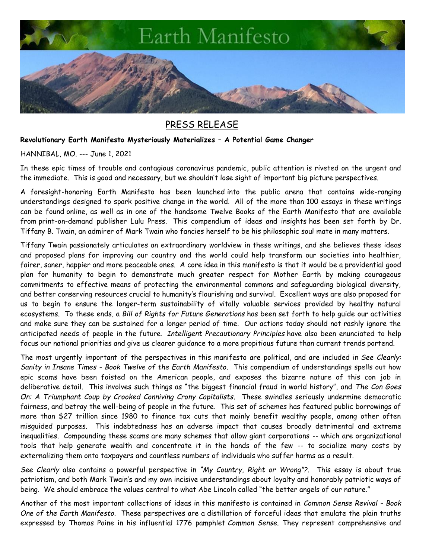

## PRESS RELEASE

## **Revolutionary Earth Manifesto Mysteriously Materializes – A Potential Game Changer**

HANNIBAL, MO. --- June 1, 2021

In these epic times of trouble and contagious coronavirus pandemic, public attention is riveted on the urgent and the immediate. This is good and necessary, but we shouldn't lose sight of important big picture perspectives.

A foresight-honoring Earth Manifesto has been launched into the public arena that contains wide-ranging understandings designed to spark positive change in the world. All of the more than 100 essays in these writings can be found online, as well as in one of the handsome Twelve Books of the Earth Manifesto that are available from print-on-demand publisher Lulu Press. This compendium of ideas and insights has been set forth by Dr. Tiffany B. Twain, an admirer of Mark Twain who fancies herself to be his philosophic soul mate in many matters.

Tiffany Twain passionately articulates an extraordinary worldview in these writings, and she believes these ideas and proposed plans for improving our country and the world could help transform our societies into healthier, fairer, saner, happier and more peaceable ones. A core idea in this manifesto is that it would be a providential good plan for humanity to begin to demonstrate much greater respect for Mother Earth by making courageous commitments to effective means of protecting the environmental commons and safeguarding biological diversity, and better conserving resources crucial to humanity's flourishing and survival. Excellent ways are also proposed for us to begin to ensure the longer-term sustainability of vitally valuable services provided by healthy natural ecosystems. To these ends, a *Bill of Rights for Future Generations* has been set forth to help guide our activities and make sure they can be sustained for a longer period of time. Our actions today should not rashly ignore the anticipated needs of people in the future. *Intelligent Precautionary Principles* have also been enunciated to help focus our national priorities and give us clearer guidance to a more propitious future than current trends portend.

The most urgently important of the perspectives in this manifesto are political, and are included in *See Clearly: Sanity in Insane Times - Book Twelve of the Earth Manifesto.* This compendium of understandings spells out how epic scams have been foisted on the American people, and exposes the bizarre nature of this con job in deliberative detail. This involves such things as "the biggest financial fraud in world history", and *The Con Goes On: A Triumphant Coup by Crooked Conniving Crony Capitalists*. These swindles seriously undermine democratic fairness, and betray the well-being of people in the future. This set of schemes has featured public borrowings of more than \$27 trillion since 1980 to finance tax cuts that mainly benefit wealthy people, among other often misguided purposes. This indebtedness has an adverse impact that causes broadly detrimental and extreme inequalities. Compounding these scams are many schemes that allow giant corporations -- which are organizational tools that help generate wealth and concentrate it in the hands of the few -- to socialize many costs by externalizing them onto taxpayers and countless numbers of individuals who suffer harms as a result.

*See Clearly* also contains a powerful perspective in *"My Country, Right or Wrong"?*. This essay is about true patriotism, and both Mark Twain's and my own incisive understandings about loyalty and honorably patriotic ways of being. We should embrace the values central to what Abe Lincoln called "the better angels of our nature."

Another of the most important collections of ideas in this manifesto is contained in *Common Sense Revival - Book One of the Earth Manifesto.* These perspectives are a distillation of forceful ideas that emulate the plain truths expressed by Thomas Paine in his influential 1776 pamphlet *Common Sense.* They represent comprehensive and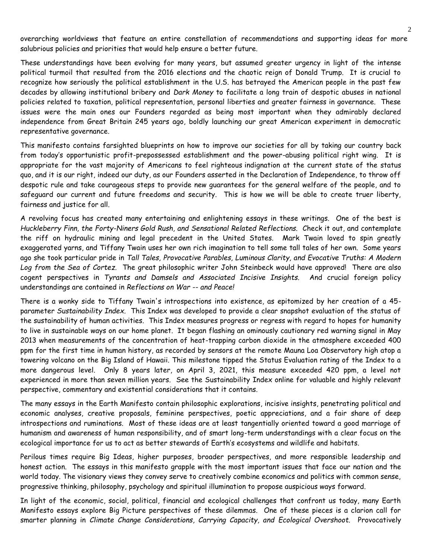overarching worldviews that feature an entire constellation of recommendations and supporting ideas for more salubrious policies and priorities that would help ensure a better future.

These understandings have been evolving for many years, but assumed greater urgency in light of the intense political turmoil that resulted from the 2016 elections and the chaotic reign of Donald Trump. It is crucial to recognize how seriously the political establishment in the U.S. has betrayed the American people in the past few decades by allowing institutional bribery and *Dark Money* to facilitate a long train of despotic abuses in national policies related to taxation, political representation, personal liberties and greater fairness in governance. These issues were the main ones our Founders regarded as being most important when they admirably declared independence from Great Britain 245 years ago, boldly launching our great American experiment in democratic representative governance.

This manifesto contains farsighted blueprints on how to improve our societies for all by taking our country back from today's opportunistic profit-prepossessed establishment and the power-abusing political right wing. It is appropriate for the vast majority of Americans to feel righteous indignation at the current state of the status quo, and it is our right, indeed our duty, as our Founders asserted in the Declaration of Independence, to throw off despotic rule and take courageous steps to provide new guarantees for the general welfare of the people, and to safeguard our current and future freedoms and security. This is how we will be able to create truer liberty, fairness and justice for all.

A revolving focus has created many entertaining and enlightening essays in these writings. One of the best is *Huckleberry Finn, the Forty-Niners Gold Rush, and Sensational Related Reflections.* Check it out, and contemplate the riff on hydraulic mining and legal precedent in the United States. Mark Twain loved to spin greatly exaggerated yarns, and Tiffany Twain uses her own rich imagination to tell some tall tales of her own. Some years ago she took particular pride in *Tall Tales, Provocative Parables, Luminous Clarity, and Evocative Truths: A Modern Log from the Sea of Cortez.* The great philosophic writer John Steinbeck would have approved! There are also cogent perspectives in *Tyrants and Damsels and Associated Incisive Insights.* And crucial foreign policy understandings are contained in *Reflections on War -- and Peace!*

There is a wonky side to Tiffany Twain's introspections into existence, as epitomized by her creation of a 45 parameter *Sustainability Index.* This Index was developed to provide a clear snapshot evaluation of the status of the sustainability of human activities. This Index measures progress or regress with regard to hopes for humanity to live in sustainable ways on our home planet. It began flashing an ominously cautionary red warning signal in May 2013 when measurements of the concentration of heat-trapping carbon dioxide in the atmosphere exceeded 400 ppm for the first time in human history, as recorded by sensors at the remote Mauna Loa Observatory high atop a towering volcano on the Big Island of Hawaii. This milestone tipped the Status Evaluation rating of the Index to a more dangerous level. Only 8 years later, on April 3, 2021, this measure exceeded 420 ppm, a level not experienced in more than seven million years. See the Sustainability Index online for valuable and highly relevant perspective, commentary and existential considerations that it contains.

The many essays in the Earth Manifesto contain philosophic explorations, incisive insights, penetrating political and economic analyses, creative proposals, feminine perspectives, poetic appreciations, and a fair share of deep introspections and ruminations. Most of these ideas are at least tangentially oriented toward a good marriage of humanism and awareness of human responsibility, and of smart long-term understandings with a clear focus on the ecological importance for us to act as better stewards of Earth's ecosystems and wildlife and habitats.

Perilous times require Big Ideas, higher purposes, broader perspectives, and more responsible leadership and honest action. The essays in this manifesto grapple with the most important issues that face our nation and the world today. The visionary views they convey serve to creatively combine economics and politics with common sense, progressive thinking, philosophy, psychology and spiritual illumination to propose auspicious ways forward.

In light of the economic, social, political, financial and ecological challenges that confront us today, many Earth Manifesto essays explore Big Picture perspectives of these dilemmas. One of these pieces is a clarion call for smarter planning in *Climate Change Considerations, Carrying Capacity, and Ecological Overshoot.* Provocatively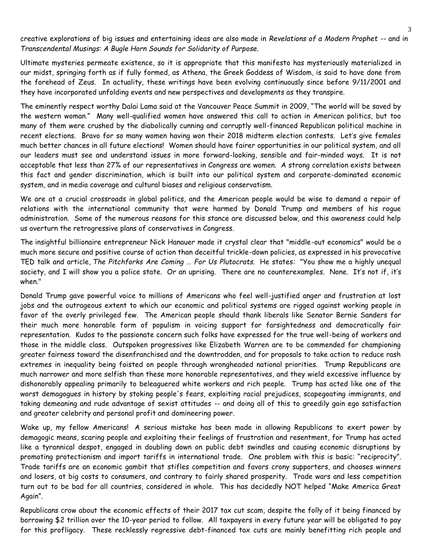creative explorations of big issues and entertaining ideas are also made in *Revelations of a Modern Prophet --* and in *Transcendental Musings: A Bugle Horn Sounds for Solidarity of Purpose.*

Ultimate mysteries permeate existence, so it is appropriate that this manifesto has mysteriously materialized in our midst, springing forth as if fully formed, as Athena, the Greek Goddess of Wisdom, is said to have done from the forehead of Zeus. In actuality, these writings have been evolving continuously since before 9/11/2001 and they have incorporated unfolding events and new perspectives and developments as they transpire.

The eminently respect worthy Dalai Lama said at the Vancouver Peace Summit in 2009, "The world will be saved by the western woman." Many well-qualified women have answered this call to action in American politics, but too many of them were crushed by the diabolically cunning and corruptly well-financed Republican political machine in recent elections. Bravo for so many women having won their 2018 midterm election contests. Let's give females much better chances in all future elections! Women should have fairer opportunities in our political system, and all our leaders must see and understand issues in more forward-looking, sensible and fair-minded ways. It is not acceptable that less than 27% of our representatives in Congress are women. A strong correlation exists between this fact and gender discrimination, which is built into our political system and corporate-dominated economic system, and in media coverage and cultural biases and religious conservatism.

We are at a crucial crossroads in global politics, and the American people would be wise to demand a repair of relations with the international community that were harmed by Donald Trump and members of his rogue administration. Some of the numerous reasons for this stance are discussed below, and this awareness could help us overturn the retrogressive plans of conservatives in Congress.

The insightful billionaire entrepreneur Nick Hanauer made it crystal clear that "middle-out economics" would be a much more secure and positive course of action than deceitful trickle-down policies, as expressed in his provocative TED talk and article, *The Pitchforks Are Coming … For Us Plutocrats.* He states*:* "You show me a highly unequal society, and I will show you a police state. Or an uprising. There are no counterexamples. None. It's not if, it's when."

Donald Trump gave powerful voice to millions of Americans who feel well-justified anger and frustration at lost jobs and the outrageous extent to which our economic and political systems are rigged against working people in favor of the overly privileged few. The American people should thank liberals like Senator Bernie Sanders for their much more honorable form of populism in voicing support for farsightedness and democratically fair representation. Kudos to the passionate concern such folks have expressed for the true well-being of workers and those in the middle class. Outspoken progressives like Elizabeth Warren are to be commended for championing greater fairness toward the disenfranchised and the downtrodden, and for proposals to take action to reduce rash extremes in inequality being foisted on people through wrongheaded national priorities. Trump Republicans are much narrower and more selfish than these more honorable representatives, and they wield excessive influence by dishonorably appealing primarily to beleaguered white workers and rich people. Trump has acted like one of the worst demagogues in history by stoking people's fears, exploiting racial prejudices, scapegoating immigrants, and taking demeaning and rude advantage of sexist attitudes -- and doing all of this to greedily gain ego satisfaction and greater celebrity and personal profit and domineering power.

Wake up, my fellow Americans! A serious mistake has been made in allowing Republicans to exert power by demagogic means, scaring people and exploiting their feelings of frustration and resentment, for Trump has acted like a tyrannical despot, engaged in doubling down on public debt swindles and causing economic disruptions by promoting protectionism and import tariffs in international trade. One problem with this is basic: "reciprocity". Trade tariffs are an economic gambit that stifles competition and favors crony supporters, and chooses winners and losers, at big costs to consumers, and contrary to fairly shared prosperity. Trade wars and less competition turn out to be bad for all countries, considered in whole. This has decidedly NOT helped "Make America Great Again".

Republicans crow about the economic effects of their 2017 tax cut scam, despite the folly of it being financed by borrowing \$2 trillion over the 10-year period to follow. All taxpayers in every future year will be obligated to pay for this profligacy. These recklessly regressive debt-financed tax cuts are mainly benefitting rich people and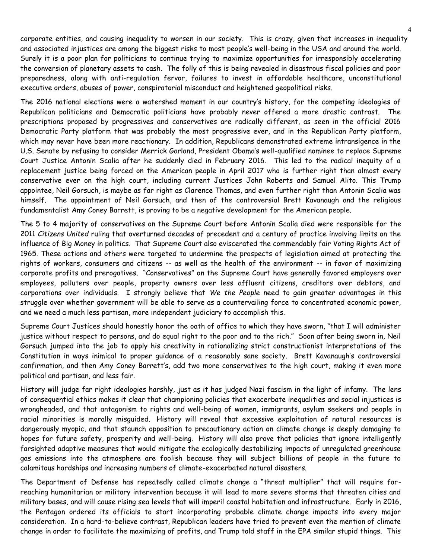corporate entities, and causing inequality to worsen in our society. This is crazy, given that increases in inequality and associated injustices are among the biggest risks to most people's well-being in the USA and around the world. Surely it is a poor plan for politicians to continue trying to maximize opportunities for irresponsibly accelerating the conversion of planetary assets to cash. The folly of this is being revealed in disastrous fiscal policies and poor preparedness, along with anti-regulation fervor, failures to invest in affordable healthcare, unconstitutional executive orders, abuses of power, conspiratorial misconduct and heightened geopolitical risks.

The 2016 national elections were a watershed moment in our country's history, for the competing ideologies of Republican politicians and Democratic politicians have probably never offered a more drastic contrast. The prescriptions proposed by progressives and conservatives are radically different, as seen in the official 2016 Democratic Party platform that was probably the most progressive ever, and in the Republican Party platform, which may never have been more reactionary. In addition, Republicans demonstrated extreme intransigence in the U.S. Senate by refusing to consider Merrick Garland, President Obama's well-qualified nominee to replace Supreme Court Justice Antonin Scalia after he suddenly died in February 2016. This led to the radical inequity of a replacement justice being forced on the American people in April 2017 who is further right than almost every conservative ever on the high court, including current Justices John Roberts and Samuel Alito. This Trump appointee, Neil Gorsuch, is maybe as far right as Clarence Thomas, and even further right than Antonin Scalia was himself. The appointment of Neil Gorsuch, and then of the controversial Brett Kavanaugh and the religious fundamentalist Amy Coney Barrett, is proving to be a negative development for the American people.

The 5 to 4 majority of conservatives on the Supreme Court before Antonin Scalia died were responsible for the 2011 *Citizens United* ruling that overturned decades of precedent and a century of practice involving limits on the influence of Big Money in politics. That Supreme Court also eviscerated the commendably fair Voting Rights Act of 1965. These actions and others were targeted to undermine the prospects of legislation aimed at protecting the rights of workers, consumers and citizens -- as well as the health of the environment -- in favor of maximizing corporate profits and prerogatives. "Conservatives" on the Supreme Court have generally favored employers over employees, polluters over people, property owners over less affluent citizens, creditors over debtors, and corporations over individuals. I strongly believe that *We the People* need to gain greater advantages in this struggle over whether government will be able to serve as a countervailing force to concentrated economic power, and we need a much less partisan, more independent judiciary to accomplish this.

Supreme Court Justices should honestly honor the oath of office to which they have sworn, "that I will administer justice without respect to persons, and do equal right to the poor and to the rich." Soon after being sworn in, Neil Gorsuch jumped into the job to apply his creativity in rationalizing strict constructionist interpretations of the Constitution in ways inimical to proper guidance of a reasonably sane society. Brett Kavanaugh's controversial confirmation, and then Amy Coney Barrett's, add two more conservatives to the high court, making it even more political and partisan, and less fair.

History will judge far right ideologies harshly, just as it has judged Nazi fascism in the light of infamy. The lens of consequential ethics makes it clear that championing policies that exacerbate inequalities and social injustices is wrongheaded, and that antagonism to rights and well-being of women, immigrants, asylum seekers and people in racial minorities is morally misguided. History will reveal that excessive exploitation of natural resources is dangerously myopic, and that staunch opposition to precautionary action on climate change is deeply damaging to hopes for future safety, prosperity and well-being. History will also prove that policies that ignore intelligently farsighted adaptive measures that would mitigate the ecologically destabilizing impacts of unregulated greenhouse gas emissions into the atmosphere are foolish because they will subject billions of people in the future to calamitous hardships and increasing numbers of climate-exacerbated natural disasters.

The Department of Defense has repeatedly called climate change a "threat multiplier" that will require farreaching humanitarian or military intervention because it will lead to more severe storms that threaten cities and military bases, and will cause rising sea levels that will imperil coastal habitation and infrastructure. Early in 2016, the Pentagon ordered its officials to start incorporating probable climate change impacts into every major consideration. In a hard-to-believe contrast, Republican leaders have tried to prevent even the mention of climate change in order to facilitate the maximizing of profits, and Trump told staff in the EPA similar stupid things. This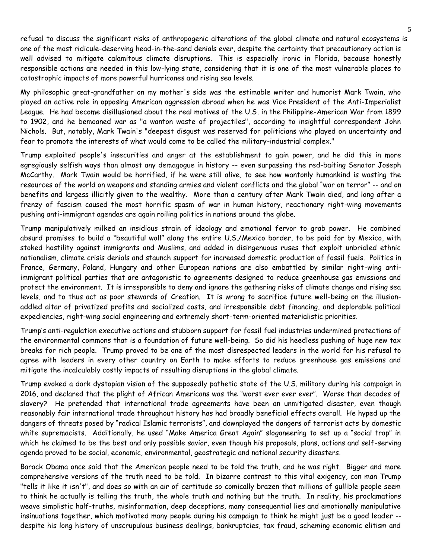refusal to discuss the significant risks of anthropogenic alterations of the global climate and natural ecosystems is one of the most ridicule-deserving head-in-the-sand denials ever, despite the certainty that precautionary action is well advised to mitigate calamitous climate disruptions. This is especially ironic in Florida, because honestly responsible actions are needed in this low-lying state, considering that it is one of the most vulnerable places to catastrophic impacts of more powerful hurricanes and rising sea levels.

My philosophic great-grandfather on my mother's side was the estimable writer and humorist Mark Twain, who played an active role in opposing American aggression abroad when he was Vice President of the Anti-Imperialist League. He had become disillusioned about the real motives of the U.S. in the Philippine-American War from 1899 to 1902, and he bemoaned war as "a wanton waste of projectiles", according to insightful correspondent John Nichols. But, notably, Mark Twain's "deepest disgust was reserved for politicians who played on uncertainty and fear to promote the interests of what would come to be called the military-industrial complex."

Trump exploited people's insecurities and anger at the establishment to gain power, and he did this in more egregiously selfish ways than almost any demagogue in history -- even surpassing the red-baiting Senator Joseph McCarthy. Mark Twain would be horrified, if he were still alive, to see how wantonly humankind is wasting the resources of the world on weapons and standing armies and violent conflicts and the global "war on terror" -- and on benefits and largess illicitly given to the wealthy. More than a century after Mark Twain died, and long after a frenzy of fascism caused the most horrific spasm of war in human history, reactionary right-wing movements pushing anti-immigrant agendas are again roiling politics in nations around the globe.

Trump manipulatively milked an insidious strain of ideology and emotional fervor to grab power. He combined absurd promises to build a "beautiful wall" along the entire U.S./Mexico border, to be paid for by Mexico, with stoked hostility against immigrants and Muslims, and added in disingenuous ruses that exploit unbridled ethnic nationalism, climate crisis denials and staunch support for increased domestic production of fossil fuels. Politics in France, Germany, Poland, Hungary and other European nations are also embattled by similar right-wing antiimmigrant political parties that are antagonistic to agreements designed to reduce greenhouse gas emissions and protect the environment. It is irresponsible to deny and ignore the gathering risks of climate change and rising sea levels, and to thus act as poor stewards of Creation. It is wrong to sacrifice future well-being on the illusionaddled altar of privatized profits and socialized costs, and irresponsible debt financing, and deplorable political expediencies, right-wing social engineering and extremely short-term-oriented materialistic priorities.

Trump's anti-regulation executive actions and stubborn support for fossil fuel industries undermined protections of the environmental commons that is a foundation of future well-being. So did his heedless pushing of huge new tax breaks for rich people. Trump proved to be one of the most disrespected leaders in the world for his refusal to agree with leaders in every other country on Earth to make efforts to reduce greenhouse gas emissions and mitigate the incalculably costly impacts of resulting disruptions in the global climate.

Trump evoked a dark dystopian vision of the supposedly pathetic state of the U.S. military during his campaign in 2016, and declared that the plight of African Americans was the "worst ever ever ever". Worse than decades of slavery? He pretended that international trade agreements have been an unmitigated disaster, even though reasonably fair international trade throughout history has had broadly beneficial effects overall. He hyped up the dangers of threats posed by "radical Islamic terrorists", and downplayed the dangers of terrorist acts by domestic white supremacists. Additionally, he used "Make America Great Again" sloganeering to set up a "social trap" in which he claimed to be the best and only possible savior, even though his proposals, plans, actions and self-serving agenda proved to be social, economic, environmental, geostrategic and national security disasters.

Barack Obama once said that the American people need to be told the truth, and he was right. Bigger and more comprehensive versions of the truth need to be told. In bizarre contrast to this vital exigency, con man Trump "tells it like it isn't", and does so with an air of certitude so comically brazen that millions of gullible people seem to think he actually is telling the truth, the whole truth and nothing but the truth. In reality, his proclamations weave simplistic half-truths, misinformation, deep deceptions, many consequential lies and emotionally manipulative insinuations together, which motivated many people during his campaign to think he might just be a good leader - despite his long history of unscrupulous business dealings, bankruptcies, tax fraud, scheming economic elitism and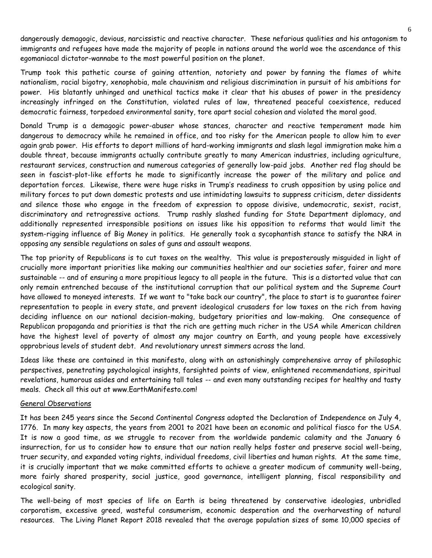dangerously demagogic, devious, narcissistic and reactive character. These nefarious qualities and his antagonism to immigrants and refugees have made the majority of people in nations around the world woe the ascendance of this egomaniacal dictator-wannabe to the most powerful position on the planet.

Trump took this pathetic course of gaining attention, notoriety and power by fanning the flames of white nationalism, racial bigotry, xenophobia, male chauvinism and religious discrimination in pursuit of his ambitions for power. His blatantly unhinged and unethical tactics make it clear that his abuses of power in the presidency increasingly infringed on the Constitution, violated rules of law, threatened peaceful coexistence, reduced democratic fairness, torpedoed environmental sanity, tore apart social cohesion and violated the moral good.

Donald Trump is a demagogic power-abuser whose stances, character and reactive temperament made him dangerous to democracy while he remained in office, and too risky for the American people to allow him to ever again grab power. His efforts to deport millions of hard-working immigrants and slash legal immigration make him a double threat, because immigrants actually contribute greatly to many American industries, including agriculture, restaurant services, construction and numerous categories of generally low-paid jobs. Another red flag should be seen in fascist-plot-like efforts he made to significantly increase the power of the military and police and deportation forces. Likewise, there were huge risks in Trump's readiness to crush opposition by using police and military forces to put down domestic protests and use intimidating lawsuits to suppress criticism, deter dissidents and silence those who engage in the freedom of expression to oppose divisive, undemocratic, sexist, racist, discriminatory and retrogressive actions. Trump rashly slashed funding for State Department diplomacy, and additionally represented irresponsible positions on issues like his opposition to reforms that would limit the system-rigging influence of Big Money in politics. He generally took a sycophantish stance to satisfy the NRA in opposing any sensible regulations on sales of guns and assault weapons.

The top priority of Republicans is to cut taxes on the wealthy. This value is preposterously misguided in light of crucially more important priorities like making our communities healthier and our societies safer, fairer and more sustainable -- and of ensuring a more propitious legacy to all people in the future. This is a distorted value that can only remain entrenched because of the institutional corruption that our political system and the Supreme Court have allowed to moneyed interests. If we want to "take back our country", the place to start is to guarantee fairer representation to people in every state, and prevent ideological crusaders for low taxes on the rich from having deciding influence on our national decision-making, budgetary priorities and law-making. One consequence of Republican propaganda and priorities is that the rich are getting much richer in the USA while American children have the highest level of poverty of almost any major country on Earth, and young people have excessively opprobrious levels of student debt. And revolutionary unrest simmers across the land.

Ideas like these are contained in this manifesto, along with an astonishingly comprehensive array of philosophic perspectives, penetrating psychological insights, farsighted points of view, enlightened recommendations, spiritual revelations, humorous asides and entertaining tall tales -- and even many outstanding recipes for healthy and tasty meals. Check all this out at www.EarthManifesto.com!

## General Observations

It has been 245 years since the Second Continental Congress adopted the Declaration of Independence on July 4, 1776. In many key aspects, the years from 2001 to 2021 have been an economic and political fiasco for the USA. It is now a good time, as we struggle to recover from the worldwide pandemic calamity and the January 6 insurrection, for us to consider how to ensure that our nation really helps foster and preserve social well-being, truer security, and expanded voting rights, individual freedoms, civil liberties and human rights. At the same time, it is crucially important that we make committed efforts to achieve a greater modicum of community well-being, more fairly shared prosperity, social justice, good governance, intelligent planning, fiscal responsibility and ecological sanity.

The well-being of most species of life on Earth is being threatened by conservative ideologies, unbridled corporatism, excessive greed, wasteful consumerism, economic desperation and the overharvesting of natural resources. The Living Planet Report 2018 revealed that the average population sizes of some 10,000 species of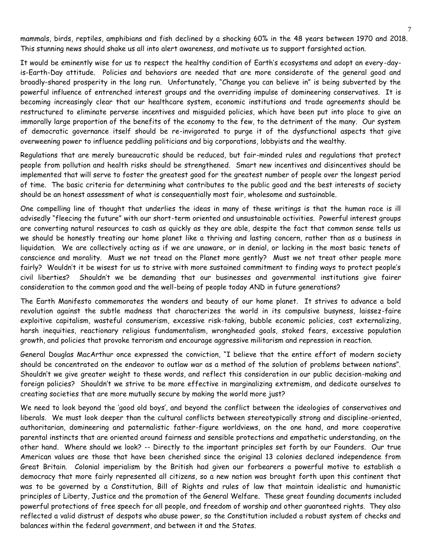mammals, birds, reptiles, amphibians and fish declined by a shocking 60% in the 48 years between 1970 and 2018. This stunning news should shake us all into alert awareness, and motivate us to support farsighted action.

It would be eminently wise for us to respect the healthy condition of Earth's ecosystems and adopt an every-dayis-Earth-Day attitude. Policies and behaviors are needed that are more considerate of the general good and broadly-shared prosperity in the long run. Unfortunately, "Change you can believe in" is being subverted by the powerful influence of entrenched interest groups and the overriding impulse of domineering conservatives. It is becoming increasingly clear that our healthcare system, economic institutions and trade agreements should be restructured to eliminate perverse incentives and misguided policies, which have been put into place to give an immorally large proportion of the benefits of the economy to the few, to the detriment of the many. Our system of democratic governance itself should be re-invigorated to purge it of the dysfunctional aspects that give overweening power to influence peddling politicians and big corporations, lobbyists and the wealthy.

Regulations that are merely bureaucratic should be reduced, but fair-minded rules and regulations that protect people from pollution and health risks should be strengthened. Smart new incentives and disincentives should be implemented that will serve to foster the greatest good for the greatest number of people over the longest period of time. The basic criteria for determining what contributes to the public good and the best interests of society should be an honest assessment of what is consequentially most fair, wholesome and sustainable.

One compelling line of thought that underlies the ideas in many of these writings is that the human race is ill advisedly "fleecing the future" with our short-term oriented and unsustainable activities. Powerful interest groups are converting natural resources to cash as quickly as they are able, despite the fact that common sense tells us we should be honestly treating our home planet like a thriving and lasting concern, rather than as a business in liquidation. We are collectively acting as if we are unaware, or in denial, or lacking in the most basic tenets of conscience and morality. Must we not tread on the Planet more gently? Must we not treat other people more fairly? Wouldn't it be wisest for us to strive with more sustained commitment to finding ways to protect people's civil liberties? Shouldn't we be demanding that our businesses and governmental institutions give fairer consideration to the common good and the well-being of people today AND in future generations?

The Earth Manifesto commemorates the wonders and beauty of our home planet. It strives to advance a bold revolution against the subtle madness that characterizes the world in its compulsive busyness, laissez-faire exploitive capitalism, wasteful consumerism, excessive risk-taking, bubble economic policies, cost externalizing, harsh inequities, reactionary religious fundamentalism, wrongheaded goals, stoked fears, excessive population growth, and policies that provoke terrorism and encourage aggressive militarism and repression in reaction.

General Douglas MacArthur once expressed the conviction, "I believe that the entire effort of modern society should be concentrated on the endeavor to outlaw war as a method of the solution of problems between nations". Shouldn't we give greater weight to these words, and reflect this consideration in our public decision-making and foreign policies? Shouldn't we strive to be more effective in marginalizing extremism, and dedicate ourselves to creating societies that are more mutually secure by making the world more just?

We need to look beyond the 'good old boys', and beyond the conflict between the ideologies of conservatives and liberals. We must look deeper than the cultural conflicts between stereotypically strong and discipline-oriented, authoritarian, domineering and paternalistic father-figure worldviews, on the one hand, and more cooperative parental instincts that are oriented around fairness and sensible protections and empathetic understanding, on the other hand. Where should we look? -- Directly to the important principles set forth by our Founders. Our true American values are those that have been cherished since the original 13 colonies declared independence from Great Britain. Colonial imperialism by the British had given our forbearers a powerful motive to establish a democracy that more fairly represented all citizens, so a new nation was brought forth upon this continent that was to be governed by a Constitution, Bill of Rights and rules of law that maintain idealistic and humanistic principles of Liberty, Justice and the promotion of the General Welfare. These great founding documents included powerful protections of free speech for all people, and freedom of worship and other guaranteed rights. They also reflected a valid distrust of despots who abuse power, so the Constitution included a robust system of checks and balances within the federal government, and between it and the States.